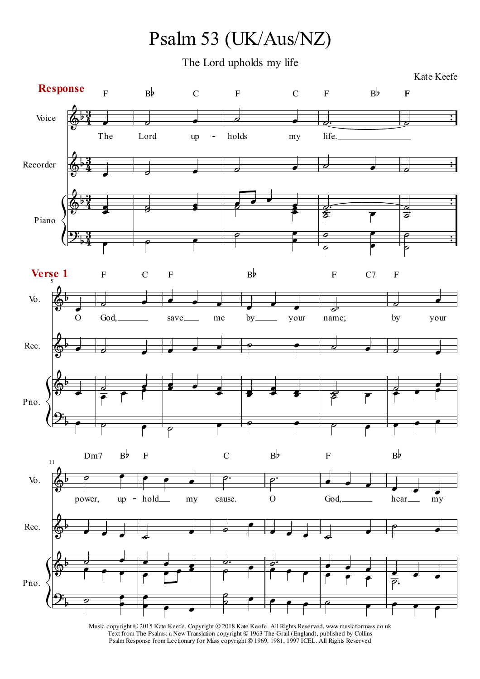Psalm 53 (UK/Aus/NZ)

The Lord upholds my life

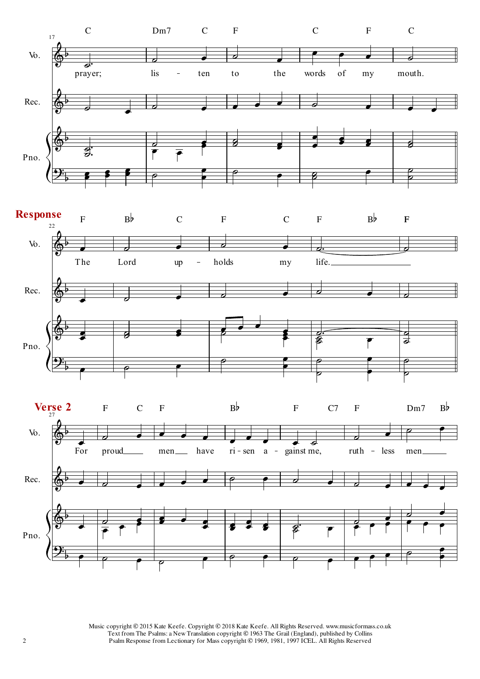



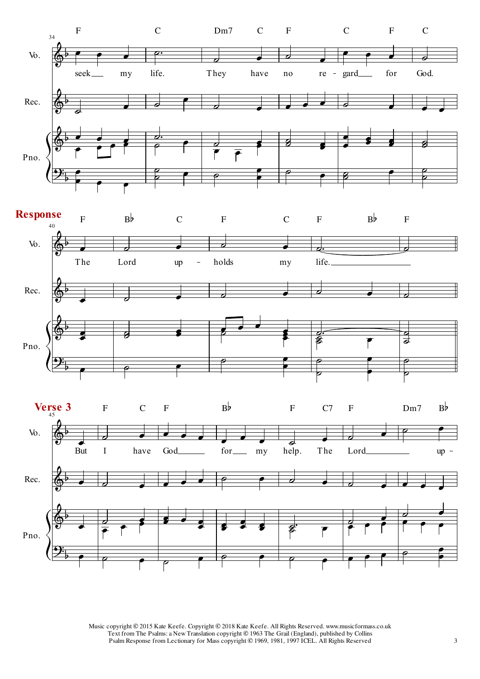